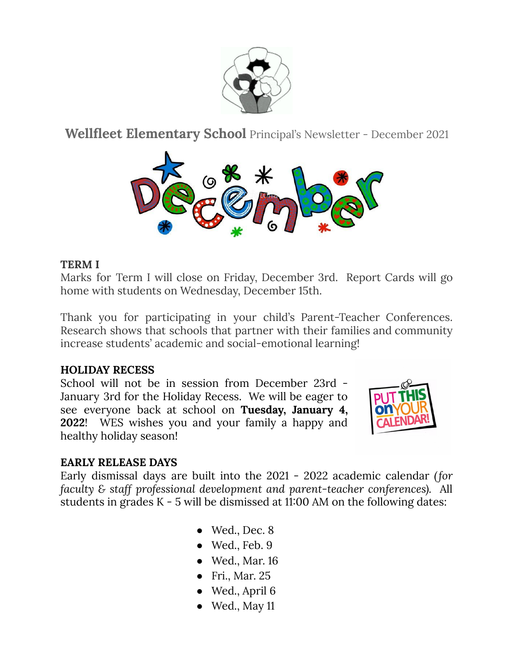

**Wellfleet Elementary School** Principal's Newsletter - December 2021



# **TERM I**

Marks for Term I will close on Friday, December 3rd. Report Cards will go home with students on Wednesday, December 15th.

Thank you for participating in your child's Parent-Teacher Conferences. Research shows that schools that partner with their families and community increase students' academic and social-emotional learning!

### **HOLIDAY RECESS**

School will not be in session from December 23rd - January 3rd for the Holiday Recess. We will be eager to see everyone back at school on **Tuesday, January 4, 2022**! WES wishes you and your family a happy and healthy holiday season!



### **EARLY RELEASE DAYS**

Early dismissal days are built into the 2021 - 2022 academic calendar *(for faculty & staff professional development and parent-teacher conferences).* All students in grades K - 5 will be dismissed at 11:00 AM on the following dates:

- $\bullet$  Wed., Dec. 8
- $\bullet$  Wed., Feb. 9
- Wed., Mar. 16
- Fri., Mar. 25
- $\bullet$  Wed., April 6
- $\bullet$  Wed., May 11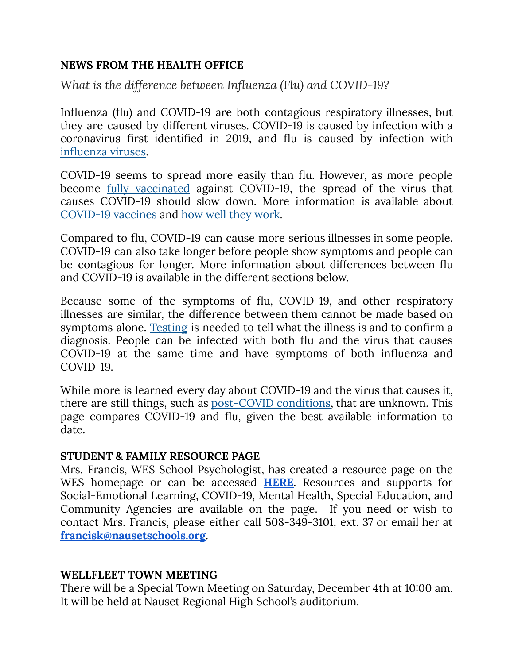## **NEWS FROM THE HEALTH OFFICE**

*What is the difference between Influenza (Flu) and COVID-19?*

Influenza (flu) and COVID-19 are both contagious respiratory illnesses, but they are caused by different viruses. COVID-19 is caused by infection with a coronavirus first identified in 2019, and flu is caused by infection with [influenza](https://www.cdc.gov/flu/about/viruses/index.htm) viruses.

COVID-19 seems to spread more easily than flu. However, as more people become fully [vaccinated](https://www.cdc.gov/coronavirus/2019-ncov/vaccines/fully-vaccinated.html) against COVID-19, the spread of the virus that causes COVID-19 should slow down. More information is available about [COVID-19](https://www.cdc.gov/coronavirus/2019-ncov/vaccines/index.html) vaccines and how well they [work.](https://www.cdc.gov/coronavirus/2019-ncov/vaccines/effectiveness/work.html)

Compared to flu, COVID-19 can cause more serious illnesses in some people. COVID-19 can also take longer before people show symptoms and people can be contagious for longer. More information about differences between flu and COVID-19 is available in the different sections below.

Because some of the symptoms of flu, COVID-19, and other respiratory illnesses are similar, the difference between them cannot be made based on symptoms alone. [Testing](https://www.cdc.gov/flu/symptoms/testing.htm#anchor_1596736120603) is needed to tell what the illness is and to confirm a diagnosis. People can be infected with both flu and the virus that causes COVID-19 at the same time and have symptoms of both influenza and COVID-19.

While more is learned every day about COVID-19 and the virus that causes it, there are still things, such as [post-COVID](https://www.cdc.gov/coronavirus/2019-ncov/long-term-effects/index.html) conditions, that are unknown. This page compares COVID-19 and flu, given the best available information to date.

### **STUDENT & FAMILY RESOURCE PAGE**

Mrs. Francis, WES School Psychologist, has created a resource page on the WES homepage or can be accessed **[HERE](https://sites.google.com/nausetschools.org/mrs-francis-wes/home)**. Resources and supports for Social-Emotional Learning, COVID-19, Mental Health, Special Education, and Community Agencies are available on the page. If you need or wish to contact Mrs. Francis, please either call 508-349-3101, ext. 37 or email her at **[francisk@nausetschools.org](mailto:francisk@nausetschools.org)**.

### **WELLFLEET TOWN MEETING**

There will be a Special Town Meeting on Saturday, December 4th at 10:00 am. It will be held at Nauset Regional High School's auditorium.